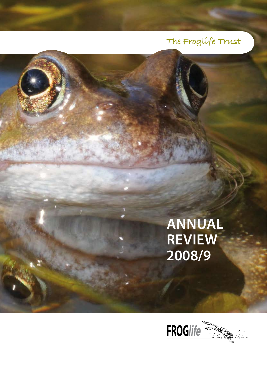## **The Froglife Trust**

# **Annual Review 2008/9**

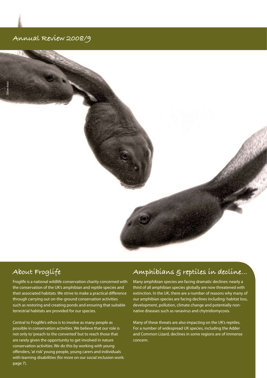#### **Annual Review 2008/9**



### **About Froglife**

Froglife is a national wildlife conservation charity concerned with the conservation of the UK's amphibian and reptile species and their associated habitats. We strive to make a practical difference through carrying out on-the-ground conservation activities such as restoring and creating ponds and ensuring that suitable terrestrial habitats are provided for our species.

 page 7). Central to Froglife's ethos is to involve as many people as possible in conservation activities. We believe that our role is not only to 'preach to the converted' but to reach those that are rarely given the opportunity to get involved in nature conservation activities. We do this by working with young offenders, 'at risk' young people, young carers and individuals with learning disabilities (for more on our social inclusion work:

#### **Amphibians & reptiles in decline…**

Many amphibian species are facing dramatic declines: nearly a third of all amphibian species globally are now threatened with extinction. In the UK, there are a number of reasons why many of our amphibian species are facing declines including: habitat loss, development, pollution, climate change and potentially nonnative diseases such as ranavirus and chytridiomycosis.

Many of these threats are also impacting on the UK's reptiles. For a number of widespread UK species, including the Adder and Common Lizard, declines in some regions are of immense concern.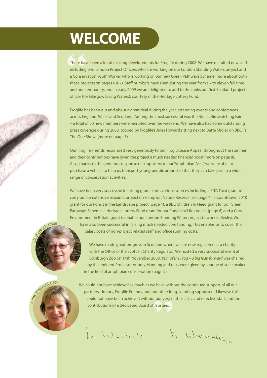# **Welcome**

There have been a lot of exciting developments for Froglife during 2008. We have recruited new staff<br>
including two London Project Officers who are working on our London Standing Waters project and<br>
a Conservation Youth Wo There have been a lot of exciting developments for Froglife during 2008. We have recruited new staff including two London Project Officers who are working on our London Standing Waters project and these projects on pages 6 & 7). Staff numbers have risen during the year from six to eleven full time and one temporary, and in early 2009 we are delighted to add to the ranks our first Scotland project officer (for Glasgow Living Waters), courtesy of the Heritage Lottery Fund.

Froglife has been out and about a great deal during the year, attending events and conferences across England, Wales and Scotland. Among the most successful was the British Birdwatching Fair – a total of 50 new members were recruited over the weekend. We have also had some outstanding press coverage during 2008, topped by Froglife's Jules Howard sitting next to Bette Midler on BBC1's The One Show! (more on page 5).

Our Froglife Friends responded very generously to our Frog Disease Appeal throughout the summer and their contributions have given the project a much needed financial boost (more on page 8). Also, thanks to the generous response of supporters to our 'Amphibian Asks', we were able to purchase a vehicle to help us transport young people around so that they can take part in a wider range of conservation activities.

We have been very successful in raising grants from various sources including a SITA Trust grant to carry out an extensive research project on Hampton Nature Reserve (see page 4); a Countdown 2010 grant for our Ponds in the Landscape project (page 4); a BBC Children In Need grant for our Green Pathways Scheme, a Heritage Lottery Fund grant for our Ponds for Life project (page 6) and a Cory Environment in Britain grant to enable our London Standing Water project to work in Bexley. We have also been successful in raising much needed core funding. This enables us to cover the

salary costs of non-project related staff and office running costs.



 $Chair$ 

We have made great progress in Scotland where we are now registered as a charity with the Office of the Scottish Charity Regulator. We hosted a very successful event at Edinburgh Zoo on 14th November 2008. *Year of the Frog – a big leap forward* was chaired by the eminent Professor Aubrey Manning and talks were given by a range of star speakers in the field of amphibian conservation (page 9).

**Contributions of a dedicated Board of Trustees.** We could not have achieved as much as we have without the continued support of all our partners, donors, Froglife Friends, and our other long-standing supporters. Likewise this could not have been achieved without our very enthusiastic and effective staff, and the

La Weclock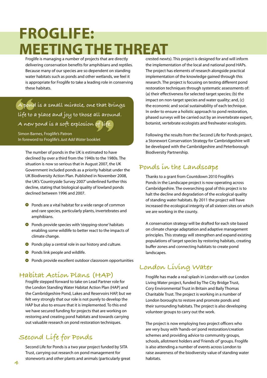# **Froglife: Meeting the threat**

Froglife is managing a number of projects that are directly delivering conservation benefits for amphibians and reptiles. Because many of our species are so dependent on standing water habitats such as ponds and other wetlands, we feel it is appropriate for Froglife to take a leading role in conserving these habitats.

A pond is a small miracle, one that brings<br>life to a place and joy to those all around. **life to a place and joy to those all around.** 

A new pond ís a soft explosíon of lífe.<br>Simon Barnes, Froglife's Patron<br>In foreword to Froglife's *Just Add Water* booklet Simon Barnes, Froglife's Patron In foreword to Froglife's *Just Add Water* booklet

The number of ponds in the UK is estimated to have declined by over a third from the 1940s to the 1980s. The situation is now so serious that in August 2007, the UK Government included ponds as a priority habitat under the UK Biodiversity Action Plan. Published in November 2008, the UK's 'Countryside Survey 2007' underlined further this decline, stating that biological quality of lowland ponds declined between 1996 and 2007.

- **O** Ponds are a vital habitat for a wide range of common and rare species, particularly plants, invertebrates and amphibians.
- **O** Ponds provide species with 'stepping-stone' habitats enabling some wildlife to better react to the impacts of climate change.
- **O** Ponds play a central role in our history and culture.
- **O** Ponds link people and wildlife.
- **O** Ponds provide excellent outdoor classroom opportunities

#### **Habitat Action Plans (HAP)**

Froglife stepped forward to take on Lead Partner role for the London Standing Water Habitat Action Plan (HAP) and the Cambridgeshire Pond, Lakes and Reservoirs HAP, but we felt very strongly that our role is not purely to develop the HAP but also to ensure that it is implemented. To this end we have secured funding for projects that are working on restoring and creating pond habitats and towards carrying out valuable research on pond restoration techniques.

### **Second Life for Ponds**

Second Life for Ponds is a two year project funded by SITA Trust, carrying out research on pond management for stoneworts and other plants and animals (particularly great crested newts). This project is designed for and will inform the implementation of the local and national pond HAPs. The project has elements of research alongside practical implementation of the knowledge gained through this research. The project is focusing on testing different pond restoration techniques through systematic assessments of: (a) their effectiveness for selected target species; (b) the impact on non-target species and water quality; and, (c) the economic and social sustainability of each technique. In order to ensure a holistic approach to pond restoration, phased surveys will be carried out by an invertebrate expert, botanist, vertebrate ecologists and freshwater ecologists.

Following the results from the Second Life for Ponds project, a Stonewort Conservation Strategy for Cambridgeshire will be developed with the Cambridgeshire and Peterborough Biodiversity Partnership.

#### **Ponds in the Landscape**

Thanks to a grant from Countdown 2010 Froglife's Ponds in the Landscape project is now operating across Cambridgeshire. The overarching goal of this project is to halt the decline and degradation of the ecological quality of standing water habitats. By 2011 the project will have increased the ecological integrity of all sixteen sites on which we are working in the county.

A conservation strategy will be drafted for each site based on climate change adaptation and adaptive management principles. This strategy will strengthen and expand existing populations of target species by restoring habitats, creating buffer zones and connecting habitats to create pond landscapes.

#### **London Living Water**

Froglife has made a real splash in London with our London Living Water project, funded by The City Bridge Trust, Cory Environmental Trust in Britain and Baily Thomas Charitable Trust. The project is working in a number of London boroughs to restore and promote ponds and their surrounding habitats. The project is also developing volunteer groups to carry out the work.

The project is now employing two project officers who are very busy with 'hands-on' pond restoration/creation schemes and providing advice to community groups, schools, allotment holders and 'Friends of' groups. Froglife is also attending a number of events across London to raise awareness of the biodiversity value of standing water habitats.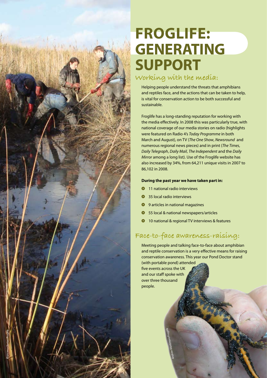

# **Frogli fe: Generating support**

### **Working with the media:**

Helping people understand the threats that amphibians and reptiles face, and the actions that can be taken to help, is vital for conservation action to be both successful and sustainable.

Froglife has a long-standing reputation for working with the media effectively. In 2008 this was particularly true, with national coverage of our media stories on radio (highlights were featured on Radio 4's *Today Programme* in both March and August), on TV (*The One Show*, *Newsround* and numerous regional news pieces) and in print (*The Times*, *Daily Telegraph*, *Daily Mail*, *The Independent* and the *Daily Mirror* among a long list). Use of the Froglife website has also increased by 34%, from 64,211 unique visits in 2007 to 86,102 in 2008.

#### **During the past year we have taken part in:**

- **0** 11 national radio interviews
- **35 local radio interviews**
- **O** 9 articles in national magazines
- **O** 55 local & national newspapers/articles
- **0** 10 national & regional TV interviews & features

### **Face-to-face awareness-raising:**

Meeting people and talking face-to-face about amphibian and reptile conservation is a very effective means for raising conservation awareness. This year our Pond Doctor stand (with portable pond) attended

k

five events across the UK and our staff spoke with over three thousand people.

*Andrew Mortimore/Froglife*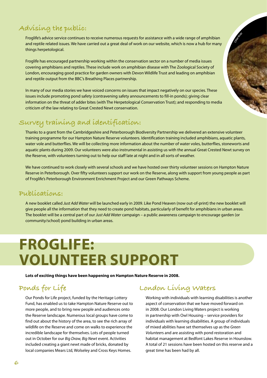### **Advising the public:**

Froglife's advice service continues to receive numerous requests for assistance with a wide range of amphibian and reptile related issues. We have carried out a great deal of work on our website, which is now a hub for many things herpetological.

Froglife has encouraged partnership working within the conservation sector on a number of media issues covering amphibians and reptiles. These include work on amphibian disease with The Zoological Society of London, encouraging good practice for garden owners with Devon Wildlife Trust and leading on amphibian and reptile output from the BBC's Breathing Places partnership.

In many of our media stories we have voiced concerns on issues that impact negatively on our species. These issues include promoting pond safety (contravening safety announcements to fill-in ponds); giving clear information on the threat of adder bites (with The Herpetological Conservation Trust); and responding to media criticism of the law relating to Great Crested Newt conservation.

### **Survey training and identification:**

Thanks to a grant from the Cambridgeshire and Peterborough Biodiversity Partnership we delivered an extensive volunteer training programme for our Hampton Nature Reserve volunteers. Identification training included amphibians, aquatic plants, water vole and butterflies. We will be collecting more information about the number of water voles, butterflies, stoneworts and aquatic plants during 2009. Our volunteers were also instrumental in assisting us with the annual Great Crested Newt survey on the Reserve, with volunteers turning out to help our staff late at night and in all sorts of weather.

We have continued to work closely with several schools and we have hosted over thirty volunteer sessions on Hampton Nature Reserve in Peterborough. Over fifty volunteers support our work on the Reserve, along with support from young people as part of Froglife's Peterborough Environment Enrichment Project and our Green Pathways Scheme.

#### **Publications:**

A new booklet called *Just Add Water* will be launched early in 2009. Like Pond Heaven (now out-of-print) the new booklet will give people all the information that they need to create pond habitats, particularly of benefit for amphibians in urban areas. The booklet will be a central part of our *Just Add Water* campaign – a public awareness campaign to encourage garden (or community/school) pond building in urban areas.

## **Froglife: Volunteer support**

**Lots of exciting things have been happening on Hampton Nature Reserve in 2008.** 

### **Ponds for Life**

Our Ponds for Life project, funded by the Heritage Lottery Fund, has enabled us to take Hampton Nature Reserve out to more people, and to bring new people and audiences onto the Reserve landscape. Numerous local groups have come to find out about the history of the area, to see the rich array of wildlife on the Reserve and come on walks to experience the incredible landscape for themselves. Lots of people turned out in October for our *Big Draw, Big Newt* event. Activities included creating a giant newt made of bricks, donated by local companies Mears Ltd, Wolseley and Cross Keys Homes.

### **London Living Waters**

Working with individuals with learning disabilities is another aspect of conservation that we have moved forward on in 2008. Our London Living Waters project is working in partnership with Owl Housing – service providers for individuals with learning disabilities. A group of individuals of mixed abilities have set themselves up as the *Green Volunteer*s and are assisting with pond restoration and habitat management at Bedfont Lakes Reserve in Hounslow. A total of 21 sessions have been hosted on this reserve and a great time has been had by all.

*OliverKratz*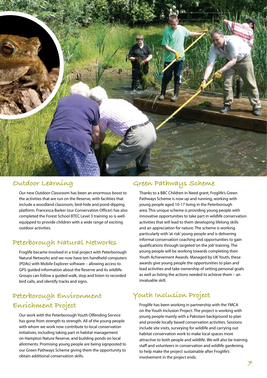

#### **Outdoor Learning**

Our new Outdoor Classroom has been an enormous boost to the activities that are run on the Reserve, with facilities that include a woodland classroom, bird-hide and pond-dipping platform. Francesca Barker (our Conservation Officer) has also completed the Forest School BTEC Level 3 training so is wellequipped to provide children with a wide range of exciting outdoor activities.

#### **Peterborough Natural Networks**

Froglife became involved in a trial project with Peterborough Natural Networks and we now have ten handheld computers (PDAs) with Mobile Explorer software – allowing access to GPS-guided information about the Reserve and its wildlife. Groups can follow a guided walk, stop and listen to recorded bird calls, and identify tracks and signs.

### **Peterborough Environment Enrichment Project**

Our work with the Peterborough Youth Offending Service has gone from strength to strength. All of the young people with whom we work now contribute to local conservation initiatives, including taking part in habitat management on Hampton Nature Reserve, and building ponds on local allotments. Promising young people are being signposted to our Green Pathways Scheme giving them the opportunity to obtain additional conservation skills.

#### **Green Pathways Scheme**

Thanks to a BBC Children in Need grant, Froglife's Green Pathways Scheme is now up and running, working with young people aged 10-17 living in the Peterborough area. This unique scheme is providing young people with innovative opportunities to take part in wildlife conservation activities that will lead to them developing lifelong skills and an appreciation for nature. The scheme is working particularly with 'at risk' young people and is delivering informal conservation coaching and opportunities to gain qualifications through targeted 'on the job' training. The young people will be working towards completing their Youth Achievement Awards. Managed by UK Youth, these awards give young people the opportunities to plan and lead activities and take ownership of setting personal goals as well as listing the actions needed to achieve them – an invaluable skill.

### **Youth Inclusion Project**

Froglife has been working in partnership with the YMCA on the Youth Inclusion Project. The project is working with young people mainly with a Pakistani background to plan and provide locally based conservation activities. Sessions include site visits, surveying for wildlife and carrying out habitat conservation work to make local spaces more attractive to both people and wildlife. We will also be training staff and volunteers in conservation and wildlife gardening to help make the project sustainable after Froglife's involvement in the project ends.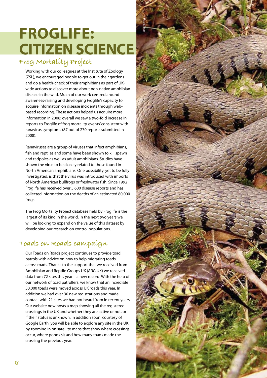# **Froglife: Citizen science**

## **Frog Mortality Project**

Working with our colleagues at the Institute of Zoology (ZSL), we encouraged people to get out in their gardens and do a health-check of their amphibians as part of UKwide actions to discover more about non-native amphibian disease in the wild. Much of our work centred around awareness-raising and developing Froglife's capacity to acquire information on disease incidents through webbased recording. These actions helped us acquire more information in 2008: overall we saw a two-fold increase in reports to Froglife of frog mortality 'events' consistent with ranavirus symptoms (87 out of 270 reports submitted in 2008).

Ranaviruses are a group of viruses that infect amphibians, fish and reptiles and some have been shown to kill spawn and tadpoles as well as adult amphibians. Studies have shown the virus to be closely related to those found in North American amphibians. One possibility, yet to be fully investigated, is that the virus was introduced with imports of North American bullfrogs or freshwater fish. Since 1992 Froglife has received over 5,600 disease reports and has collected information on the deaths of an estimated 80,000 frogs.

The Frog Mortality Project database held by Froglife is the largest of its kind in the world. In the next two years we will be looking to expand on the value of this dataset by developing our research on control populations.

### **Toads on Roads campaign**

Our Toads on Roads project continues to provide toad patrols with advice on how to help migrating toads across roads. Thanks to the support that we received from Amphibian and Reptile Groups UK (ARG UK) we received data from 72 sites this year – a new record. With the help of our network of toad patrollers, we know that an incredible 30,000 toads were moved across UK roads this year. In addition we had over 30 new registrations and made contact with 21 sites we had not heard from in recent years. Our website now hosts a map showing all the registered crossings in the UK and whether they are active or not, or if their status is unknown. In addition soon, courtesy of Google Earth, you will be able to explore any site in the UK by zooming in on satellite maps that show where crossings occur, where ponds sit and how many toads made the crossing the previous year.

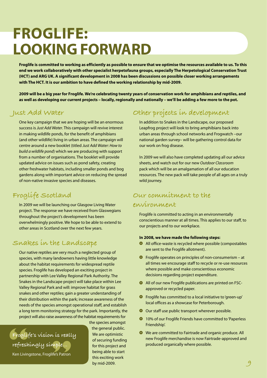# **Froglife: Looking forward**

**Froglife is committed to working as efficiently as possible to ensure that we optimise the resources available to us. To this end we work collaboratively with other specialist herpetofauna groups, especially The Herpetological Conservation Trust (HCT) and ARG UK. A significant development in 2008 has been discussions on possible closer working arrangements with The HCT. It is our ambition to have defined the working relationship by mid-2009.**

**2009 will be a big year for Froglife. We're celebrating twenty years of conservation work for amphibians and reptiles, and as well as developing our current projects – locally, regionally and nationally – we'll be adding a few more to the pot.** 

#### **Just Add Water**

One key campaign that we are hoping will be an enormous success is *Just Add Water*. This campaign will revive interest in making wildlife ponds, for the benefit of amphibians (and other wildlife) living in urban areas. The campaign will centre around a new booklet (titled *Just Add Water: How to build a wildlife pond*) which we are producing with support from a number of organisations. The booklet will provide updated advice on issues such as pond safety, creating other freshwater habitats, including smaller ponds and bog gardens along with important advice on reducing the spread of non-native invasive species and diseases.

#### **Froglife Scotland**

In 2009 we will be launching our Glasgow Living Water project. The response we have received from Glaswegians throughout the project's development has been overwhelmingly positive. We hope to be able to extend to other areas in Scotland over the next few years.

#### **Snakes in the Landscape**

Our native reptiles are very much a neglected group of species, with many landowners having little knowledge about the habitat requirements for widespread reptile species. Froglife has developed an exciting project in partnership with Lee Valley Regional Park Authority. The Snakes in the Landscape project will take place within Lee Valley Regional Park and will: improve habitat for grass snakes and other reptiles; gain a greater understanding of their distribution within the park; increase awareness of the needs of the species amongst operational staff, and establish a long term monitoring strategy for the park. Importantly, the project will also raise awareness of the habitat requirements for

**Froglife's vision is really**<br> **refreshingly simple...**<br> **Kontiningtons** Fraglish Param **refreshingly simple…**  Ken Livingstone, Froglife's Patron

the species amongst the general public. We are optimistic of securing funding for this project and being able to start this exciting work by mid-2009. **produced organically where possible.**<br> **Example 1.5** for this project and<br> **Example 1.5** for this exciting work<br>
by mid-2009.

### **Other projects in development**

In addition to Snakes in the Landscape, our proposed Leapfrog project will look to bring amphibians back into urban areas through school networks and Frogwatch –our national garden survey– will be gathering control data for our work on frog disease.

In 2009 we will also have completed updating all our advice sheets, and watch out for our new *Outdoor Classroom* pack which will be an amalgamation of all our education resources. The new pack will take people of all ages on a truly wild journey.

### **Our commitment to the environment**

Froglife is committed to acting in an environmentally conscientious manner at all times. This applies to our staff, to our projects and to our workplace.

#### **In 2008, we have made the following steps:**

- All office-waste is recycled where possible (compostables are sent to the Froglife allotment).
- $\bullet$  Froglife operates on principles of non-consumerism at all times we encourage staff to recycle or re-use resources where possible and make conscientious economic decisions regarding project expenditure.
- All of our new Froglife publications are printed on FSCapproved or recycled paper.
- Froglife has committed to a local initiative to 'green-up' local offices as a showcase for Peterborough.
- Our staff use public transport wherever possible.
- **10% of our Froglife Friends have committed to 'Paperless'** Friendship'.
- We are committed to Fairtrade and organic produce. All new Froglife merchandise is now Fairtrade-approved and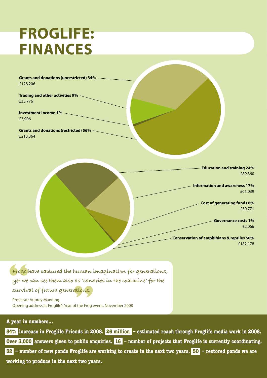# **Froglife: Finances**

**Grants and donations (unrestricted) 34%** £128,206

**Trading and other activities 9%** £35,776

**Investment Income 1%** £3,906

**Grants and donations (restricted) 56%** £213,364

> **Education and training 24%** £89,360

**Information and awareness 17%** £61,039

> **Cost of generating funds 8%** £30,771

> > **Governance costs 1%** £2,066

**Conservation of amphibians & reptiles 50%** £182,178

Frogs) **Frogs have captured the human imagination for generations, yet we can see them also as 'canaries in the coalmine' for the** 

**Survival of future generations.**<br>Professor Aubrey Manning<br>Opening address at Froglife's Year of the Frog ( Professor Aubrey Manning Opening address at Froglife's Year of the Frog event, November 2008

#### **A year in numbers...**

**10 working to produce in the next two years. 54% increase in Froglife Friends in 2008. 26 million – estimated reach through Froglife media work in 2008. Over 3,000** answers given to public enquiries. 16 – number of projects that Froglife is currently coordinating. **32 – number of new ponds Froglife are working to create in the next two years. 50 – restored ponds we are**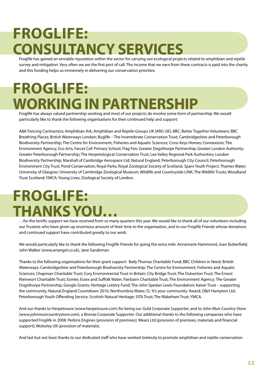# **Froglife: Consultancy Services**

Froglife has gained an enviable reputation within the sector for carrying out ecological projects related to amphibian and reptile survey and mitigation. Very often we are the first port of call. The income that we earn from these contracts is paid into the charity and this funding helps us immensely in delivering our conservation priorities.

# **Froglife: Working in Partnership**

Froglife has always valued partnership working and most of our projects do involve some form of partnership. We would particularly like to thank the following organisations for their continued help and support:

A&K Fencing Contractors; Amphibian Ark; Amphibian and Reptile Groups UK (ARG UK); BBC; Better Together Volunteers; BBC Breathing Places; British Waterways London; Buglife – The Invertebrate Conservation Trust; Cambridgeshire and Peterborough Biodiversity Partnership; The Centre for Environment, Fisheries and Aquatic Sciences; Cross Keys Homes; Connexions; The Environment Agency; Eco Arts; Farcet CoE Primary School; Flag Fen; Greater Dogsthorpe Partnership; Greater London Authority; Greater Peterborough Partnership; The Herpetological Conservation Trust; Lee Valley Regional Park Authorities; London Biodiversity Partnership; Marshall of Cambridge Aerospace Ltd; Natural England; Peterborough City Council; Peterborough Environment City Trust; Pond Conservation; Royal Parks; Royal Zoological Society of Scotland; Sparx Youth Project; Thames Water; University of Glasgow; University of Cambridge Zoological Museum; Wildlife and Countryside LINK; The Wildlife Trusts; Woodland Trust Scotland; YMCA; Young Lives; Zoological Society of London.

# **Froglife: thanks you…**

…for the terrific support we have received from so many quarters this year. We would like to thank all of our volunteers including our Trustees who have given up enormous amount of their time to the organisation, and to our Froglife Friends whose donations and continued support have contributed greatly to our work.

We would particularly like to thank the following Froglife Friends for going the extra mile: Annemarie Hammond; Joan Butterfield; John Walker (www.artangel.co.uk), Jane Sandeman.

Thanks to the following organisations for their grant support: Baily Thomas Charitable Fund; BBC Children in Need; British Waterways; Cambridgeshire and Peterborough Biodiversity Partnership; The Centre for Environment; Fisheries and Aquatic Sciences; Chapman Charitable Trust; Cory Environmental Trust in Britain; City Bridge Trust; The Dulverton Trust; The Ernest Kleinwort Charitable Trust; Esmée; Essex and Suffolk Water; Fairbairn Charitable Trust; The Environment Agency; The Greater Dogsthorpe Partnership; Google Grants; Heritage Lottery Fund; The John Spedan Lewis Foundation; Kaiser Trust – supporting the community; Natural England Countdown 2010; Northumbria Water; O<sub>2</sub> 'It's your community' Award; O&H Hampton Ltd; Peterborough Youth Offending Service; Scottish Natural Heritage; SITA Trust; The Wakeham Trust; YMCA.

And our thanks to Herpetosure (www.herpetosure.com) for being our Gold Corporate Supporter, and to John Muir Country Store (www.johnmuircountrystore.com), a Bronze Corporate Supporter. Our additional thanks to the following companies who have supported Froglife in 2008: Perkins Engines (provision of premises); Mears Ltd (provision of premises, materials and financial support); Wolseley UK (provision of materials).

And last but not least thanks to our dedicated staff who have worked tirelessly to promote amphibian and reptile conservation.